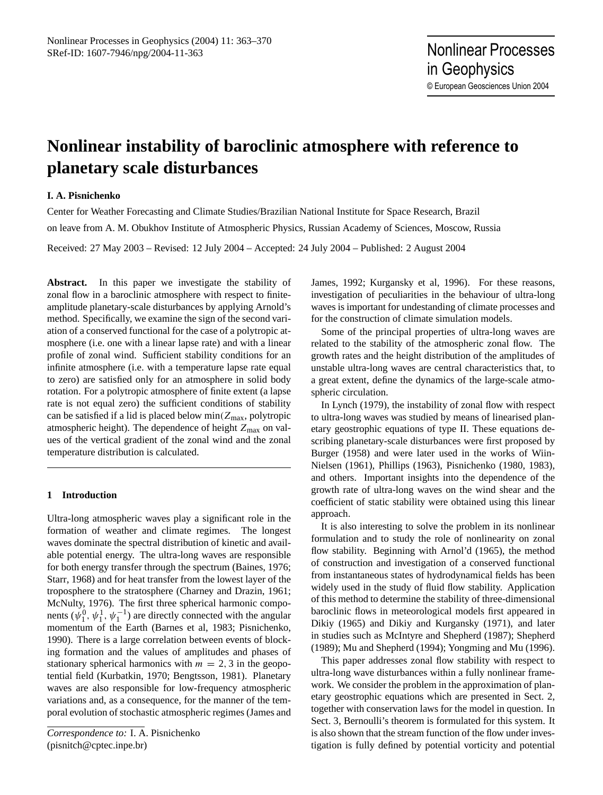# **Nonlinear instability of baroclinic atmosphere with reference to planetary scale disturbances**

# **I. A. Pisnichenko**

Center for Weather Forecasting and Climate Studies/Brazilian National Institute for Space Research, Brazil on leave from A. M. Obukhov Institute of Atmospheric Physics, Russian Academy of Sciences, Moscow, Russia Received: 27 May 2003 – Revised: 12 July 2004 – Accepted: 24 July 2004 – Published: 2 August 2004

**Abstract.** In this paper we investigate the stability of zonal flow in a baroclinic atmosphere with respect to finiteamplitude planetary-scale disturbances by applying Arnold's method. Specifically, we examine the sign of the second variation of a conserved functional for the case of a polytropic atmosphere (i.e. one with a linear lapse rate) and with a linear profile of zonal wind. Sufficient stability conditions for an infinite atmosphere (i.e. with a temperature lapse rate equal to zero) are satisfied only for an atmosphere in solid body rotation. For a polytropic atmosphere of finite extent (a lapse rate is not equal zero) the sufficient conditions of stability can be satisfied if a lid is placed below  $min(Z_{max}, polytropic)$ atmospheric height). The dependence of height  $Z_{\text{max}}$  on values of the vertical gradient of the zonal wind and the zonal temperature distribution is calculated.

# **1 Introduction**

Ultra-long atmospheric waves play a significant role in the formation of weather and climate regimes. The longest waves dominate the spectral distribution of kinetic and available potential energy. The ultra-long waves are responsible for both energy transfer through the spectrum (Baines, 1976; Starr, 1968) and for heat transfer from the lowest layer of the troposphere to the stratosphere (Charney and Drazin, 1961; McNulty, 1976). The first three spherical harmonic components  $(\psi_1^0, \psi_1^1, \psi_1^{-1})$  are directly connected with the angular momentum of the Earth (Barnes et al, 1983; Pisnichenko, 1990). There is a large correlation between events of blocking formation and the values of amplitudes and phases of stationary spherical harmonics with  $m = 2, 3$  in the geopotential field (Kurbatkin, 1970; Bengtsson, 1981). Planetary waves are also responsible for low-frequency atmospheric variations and, as a consequence, for the manner of the temporal evolution of stochastic atmospheric regimes (James and James, 1992; Kurgansky et al, 1996). For these reasons, investigation of peculiarities in the behaviour of ultra-long waves is important for undestanding of climate processes and for the construction of climate simulation models.

Some of the principal properties of ultra-long waves are related to the stability of the atmospheric zonal flow. The growth rates and the height distribution of the amplitudes of unstable ultra-long waves are central characteristics that, to a great extent, define the dynamics of the large-scale atmospheric circulation.

In Lynch (1979), the instability of zonal flow with respect to ultra-long waves was studied by means of linearised planetary geostrophic equations of type II. These equations describing planetary-scale disturbances were first proposed by Burger (1958) and were later used in the works of Wiin-Nielsen (1961), Phillips (1963), Pisnichenko (1980, 1983), and others. Important insights into the dependence of the growth rate of ultra-long waves on the wind shear and the coefficient of static stability were obtained using this linear approach.

It is also interesting to solve the problem in its nonlinear formulation and to study the role of nonlinearity on zonal flow stability. Beginning with Arnol'd (1965), the method of construction and investigation of a conserved functional from instantaneous states of hydrodynamical fields has been widely used in the study of fluid flow stability. Application of this method to determine the stability of three-dimensional baroclinic flows in meteorological models first appeared in Dikiy (1965) and Dikiy and Kurgansky (1971), and later in studies such as McIntyre and Shepherd (1987); Shepherd (1989); Mu and Shepherd (1994); Yongming and Mu (1996).

This paper addresses zonal flow stability with respect to ultra-long wave disturbances within a fully nonlinear framework. We consider the problem in the approximation of planetary geostrophic equations which are presented in Sect. 2, together with conservation laws for the model in question. In Sect. 3, Bernoulli's theorem is formulated for this system. It is also shown that the stream function of the flow under investigation is fully defined by potential vorticity and potential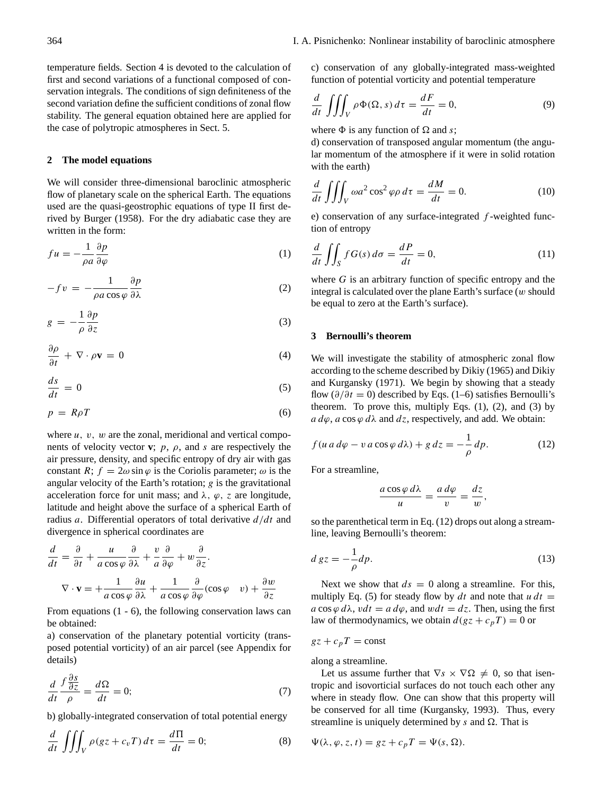temperature fields. Section 4 is devoted to the calculation of first and second variations of a functional composed of conservation integrals. The conditions of sign definiteness of the second variation define the sufficient conditions of zonal flow stability. The general equation obtained here are applied for the case of polytropic atmospheres in Sect. 5.

## **2 The model equations**

We will consider three-dimensional baroclinic atmospheric flow of planetary scale on the spherical Earth. The equations used are the quasi-geostrophic equations of type II first derived by Burger (1958). For the dry adiabatic case they are written in the form:

$$
fu = -\frac{1}{\rho a} \frac{\partial p}{\partial \varphi} \tag{1}
$$

$$
-fv = -\frac{1}{\rho a \cos \varphi} \frac{\partial p}{\partial \lambda} \tag{2}
$$

$$
g = -\frac{1}{\rho} \frac{\partial p}{\partial z} \tag{3}
$$

$$
\frac{\partial \rho}{\partial t} + \nabla \cdot \rho \mathbf{v} = 0 \tag{4}
$$

$$
\frac{ds}{dt} = 0\tag{5}
$$

$$
p = R\rho T \tag{6}
$$

where  $u$ ,  $v$ ,  $w$  are the zonal, meridional and vertical components of velocity vector **v**;  $p$ ,  $\rho$ , and s are respectively the air pressure, density, and specific entropy of dry air with gas constant R;  $f = 2\omega \sin \varphi$  is the Coriolis parameter;  $\omega$  is the angular velocity of the Earth's rotation;  $g$  is the gravitational acceleration force for unit mass; and  $\lambda$ ,  $\varphi$ , z are longitude, latitude and height above the surface of a spherical Earth of radius a. Differential operators of total derivative  $d/dt$  and divergence in spherical coordinates are

$$
\frac{d}{dt} = \frac{\partial}{\partial t} + \frac{u}{a\cos\varphi}\frac{\partial}{\partial \lambda} + \frac{v}{a}\frac{\partial}{\partial \varphi} + w\frac{\partial}{\partial z}.
$$

$$
\nabla \cdot \mathbf{v} = +\frac{1}{a\cos\varphi}\frac{\partial u}{\partial \lambda} + \frac{1}{a\cos\varphi}\frac{\partial}{\partial \varphi}(\cos\varphi - v) + \frac{\partial w}{\partial z}
$$

From equations (1 - 6), the following conservation laws can be obtained:

a) conservation of the planetary potential vorticity (transposed potential vorticity) of an air parcel (see Appendix for details)

∂s

$$
\frac{d}{dt}\frac{f\frac{\partial S}{\partial z}}{\rho} = \frac{d\Omega}{dt} = 0;\tag{7}
$$

b) globally-integrated conservation of total potential energy

$$
\frac{d}{dt} \iiint_V \rho(gz + c_v T) d\tau = \frac{d\Pi}{dt} = 0;
$$
\n(8)

c) conservation of any globally-integrated mass-weighted function of potential vorticity and potential temperature

$$
\frac{d}{dt} \iiint_V \rho \Phi(\Omega, s) d\tau = \frac{dF}{dt} = 0,
$$
\n(9)

where  $\Phi$  is any function of  $\Omega$  and s;

d) conservation of transposed angular momentum (the angular momentum of the atmosphere if it were in solid rotation with the earth)

$$
\frac{d}{dt} \iiint_V \omega a^2 \cos^2 \varphi \rho \, d\tau = \frac{dM}{dt} = 0. \tag{10}
$$

e) conservation of any surface-integrated  $f$ -weighted function of entropy

$$
\frac{d}{dt} \iint_{S} f G(s) d\sigma = \frac{dP}{dt} = 0,
$$
\n(11)

where  $G$  is an arbitrary function of specific entropy and the integral is calculated over the plane Earth's surface  $(w \text{ should}$ be equal to zero at the Earth's surface).

### **3 Bernoulli's theorem**

We will investigate the stability of atmospheric zonal flow according to the scheme described by Dikiy (1965) and Dikiy and Kurgansky (1971). We begin by showing that a steady flow ( $\partial/\partial t = 0$ ) described by Eqs. (1–6) satisfies Bernoulli's theorem. To prove this, multiply Eqs.  $(1)$ ,  $(2)$ , and  $(3)$  by  $a d\varphi$ ,  $a \cos \varphi d\lambda$  and  $dz$ , respectively, and add. We obtain:

$$
f(u a d\varphi - v a \cos \varphi d\lambda) + g d z = -\frac{1}{\rho} dp.
$$
 (12)

For a streamline,

$$
\frac{a\cos\varphi\,d\lambda}{u}=\frac{a\,d\varphi}{v}=\frac{dz}{w},
$$

so the parenthetical term in Eq. (12) drops out along a streamline, leaving Bernoulli's theorem:

$$
d\,gz = -\frac{1}{\rho}dp.\tag{13}
$$

Next we show that  $ds = 0$  along a streamline. For this, multiply Eq. (5) for steady flow by dt and note that  $u dt =$  $a \cos \varphi d\lambda$ ,  $vdt = a d\varphi$ , and  $wdt = dz$ . Then, using the first law of thermodynamics, we obtain  $d(gz + c_pT) = 0$  or

 $gz + c_pT = \text{const}$ 

along a streamline.

Let us assume further that  $\nabla s \times \nabla \Omega \neq 0$ , so that isentropic and isovorticial surfaces do not touch each other any where in steady flow. One can show that this property will be conserved for all time (Kurgansky, 1993). Thus, every streamline is uniquely determined by  $s$  and  $\Omega$ . That is

$$
\Psi(\lambda, \varphi, z, t) = gz + c_p T = \Psi(s, \Omega).
$$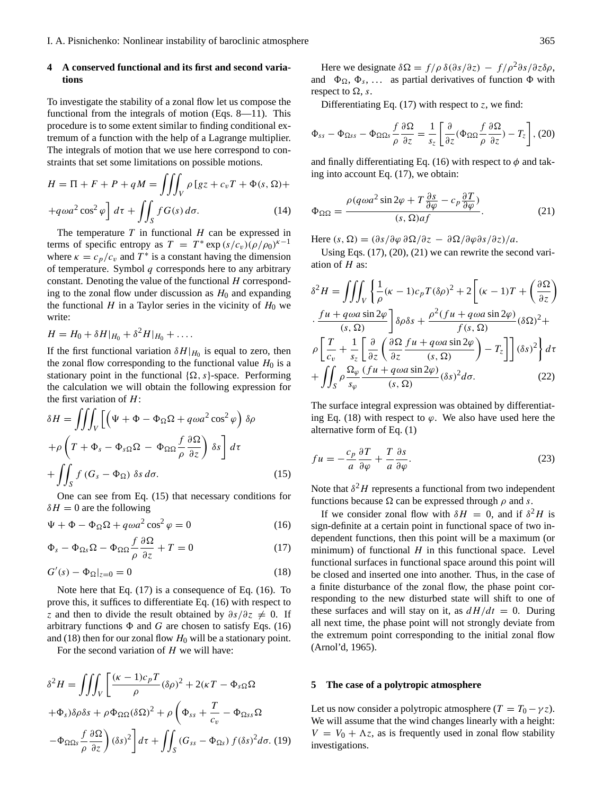## **4 A conserved functional and its first and second variations**

To investigate the stability of a zonal flow let us compose the functional from the integrals of motion (Eqs. 8—11). This procedure is to some extent similar to finding conditional extremum of a function with the help of a Lagrange multiplier. The integrals of motion that we use here correspond to constraints that set some limitations on possible motions.

$$
H = \Pi + F + P + qM = \iiint_V \rho [gz + c_v T + \Phi(s, \Omega) +
$$
  
+ $q\omega a^2 \cos^2 \varphi \, dt$   $d\tau + \iint_S f G(s) d\sigma.$  (14)

The temperature  $T$  in functional  $H$  can be expressed in terms of specific entropy as  $T = T^* \exp(s/c_v)(\rho/\rho_0)^{\kappa-1}$ where  $\kappa = c_p/c_v$  and  $T^*$  is a constant having the dimension of temperature. Symbol  $q$  corresponds here to any arbitrary constant. Denoting the value of the functional  $H$  corresponding to the zonal flow under discussion as  $H_0$  and expanding the functional  $H$  in a Taylor series in the vicinity of  $H_0$  we write:

$$
H = H_0 + \delta H|_{H_0} + \delta^2 H|_{H_0} + \ldots
$$

If the first functional variation  $\delta H|_{H_0}$  is equal to zero, then the zonal flow corresponding to the functional value  $H_0$  is a stationary point in the functional  $\{\Omega, s\}$ -space. Performing the calculation we will obtain the following expression for the first variation of  $H$ :

$$
\delta H = \iiint_V \left[ \left( \Psi + \Phi - \Phi_{\Omega} \Omega + q \omega a^2 \cos^2 \varphi \right) \delta \rho \right. \n+ \rho \left( T + \Phi_s - \Phi_{s\Omega} \Omega - \Phi_{\Omega \Omega} \frac{f}{\rho} \frac{\partial \Omega}{\partial z} \right) \delta s \right] d\tau \n+ \iint_S f (G_s - \Phi_{\Omega}) \delta s d\sigma.
$$
\n(15)

One can see from Eq. (15) that necessary conditions for  $\delta H = 0$  are the following

$$
\Psi + \Phi - \Phi_{\Omega} \Omega + q \omega a^2 \cos^2 \varphi = 0 \tag{16}
$$

$$
\Phi_s - \Phi_{\Omega s} \Omega - \Phi_{\Omega \Omega} \frac{f}{\rho} \frac{\partial \Omega}{\partial z} + T = 0 \tag{17}
$$

$$
G'(s) - \Phi_{\Omega}|_{z=0} = 0 \tag{18}
$$

Note here that Eq. (17) is a consequence of Eq. (16). To prove this, it suffices to differentiate Eq. (16) with respect to z and then to divide the result obtained by  $\partial s/\partial z \neq 0$ . If arbitrary functions  $\Phi$  and G are chosen to satisfy Eqs. (16) and (18) then for our zonal flow  $H_0$  will be a stationary point.

For the second variation of  $H$  we will have:

$$
\delta^{2} H = \iiint_{V} \left[ \frac{(\kappa - 1)c_{p}T}{\rho} (\delta \rho)^{2} + 2(\kappa T - \Phi_{s\Omega} \Omega
$$

$$
+ \Phi_{s}) \delta \rho \delta s + \rho \Phi_{\Omega \Omega} (\delta \Omega)^{2} + \rho \left( \Phi_{ss} + \frac{T}{c_{v}} - \Phi_{\Omega ss} \Omega \right)
$$

$$
- \Phi_{\Omega \Omega s} \frac{f}{\rho} \frac{\partial \Omega}{\partial z} \right) (\delta s)^{2} dt + \iint_{S} (G_{ss} - \Phi_{\Omega s}) f(\delta s)^{2} d\sigma. (19)
$$

Here we designate  $\delta \Omega = f/\rho \delta (\partial s/\partial z) - f/\rho^2 \partial s/\partial z \delta \rho$ , and  $\Phi_{\Omega}, \Phi_s, \ldots$  as partial derivatives of function  $\Phi$  with respect to  $\Omega$ , s.

Differentiating Eq.  $(17)$  with respect to z, we find:

$$
\Phi_{ss} - \Phi_{\Omega ss} - \Phi_{\Omega\Omega s} \frac{f}{\rho} \frac{\partial \Omega}{\partial z} = \frac{1}{s_z} \left[ \frac{\partial}{\partial z} (\Phi_{\Omega\Omega} \frac{f}{\rho} \frac{\partial \Omega}{\partial z}) - T_z \right], (20)
$$

and finally differentiating Eq. (16) with respect to  $\phi$  and taking into account Eq. (17), we obtain:

$$
\Phi_{\Omega\Omega} = \frac{\rho(q\omega a^2 \sin 2\varphi + T \frac{\partial s}{\partial \varphi} - c_p \frac{\partial T}{\partial \varphi})}{(s, \Omega)af}.
$$
(21)

Here  $(s, \Omega) = (\partial s / \partial \varphi \, \partial \Omega / \partial z - \partial \Omega / \partial \varphi \partial s / \partial z)/a$ .

Using Eqs. (17), (20), (21) we can rewrite the second variation of  $H$  as:

$$
\delta^{2}H = \iiint_{V} \left\{ \frac{1}{\rho} (\kappa - 1)c_{p} T(\delta \rho)^{2} + 2 \left[ (\kappa - 1)T + \left( \frac{\partial \Omega}{\partial z} \right) \right] \right\} \cdot \frac{fu + q\omega a \sin 2\varphi}{(s, \Omega)} \right\} \delta \rho \delta s + \frac{\rho^{2} (fu + q\omega a \sin 2\varphi)}{f(s, \Omega)} (\delta \Omega)^{2} + \rho \left[ \frac{T}{c_{v}} + \frac{1}{s_{z}} \left[ \frac{\partial}{\partial z} \left( \frac{\partial \Omega}{\partial z} \frac{fu + q\omega a \sin 2\varphi}{(s, \Omega)} \right) - T_{z} \right] \right] (\delta s)^{2} \right\} d\tau + \iint_{S} \rho \frac{\Omega_{\varphi}}{s_{\varphi}} \frac{(fu + q\omega a \sin 2\varphi)}{(s, \Omega)} (\delta s)^{2} d\sigma.
$$
 (22)

The surface integral expression was obtained by differentiating Eq. (18) with respect to  $\varphi$ . We also have used here the alternative form of Eq. (1)

$$
fu = -\frac{c_p}{a} \frac{\partial T}{\partial \varphi} + \frac{T}{a} \frac{\partial s}{\partial \varphi}.
$$
 (23)

Note that  $\delta^2 H$  represents a functional from two independent functions because  $\Omega$  can be expressed through  $\rho$  and s.

If we consider zonal flow with  $\delta H = 0$ , and if  $\delta^2 H$  is sign-definite at a certain point in functional space of two independent functions, then this point will be a maximum (or minimum) of functional  $H$  in this functional space. Level functional surfaces in functional space around this point will be closed and inserted one into another. Thus, in the case of a finite disturbance of the zonal flow, the phase point corresponding to the new disturbed state will shift to one of these surfaces and will stay on it, as  $dH/dt = 0$ . During all next time, the phase point will not strongly deviate from the extremum point corresponding to the initial zonal flow (Arnol'd, 1965).

#### **5 The case of a polytropic atmosphere**

Let us now consider a polytropic atmosphere  $(T = T_0 - \gamma z)$ . We will assume that the wind changes linearly with a height:  $V = V_0 + \Lambda z$ , as is frequently used in zonal flow stability investigations.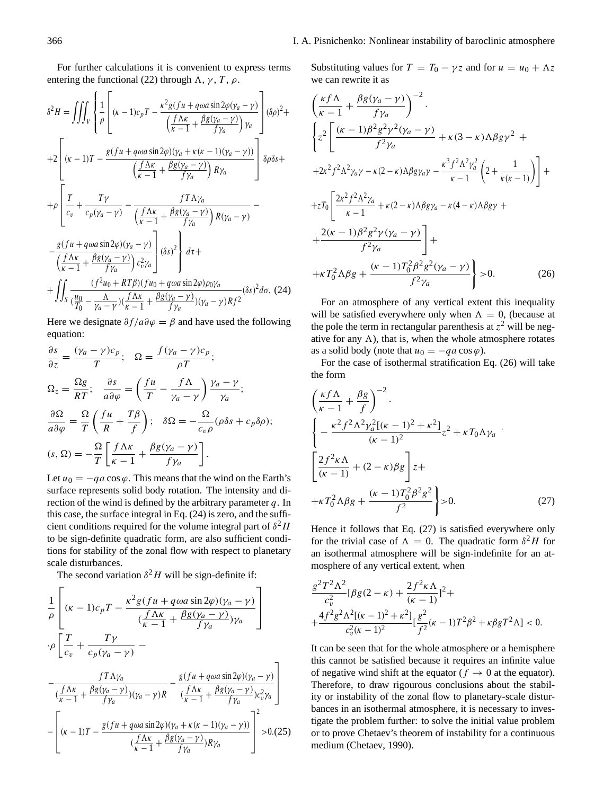For further calculations it is convenient to express terms entering the functional (22) through  $\Lambda$ ,  $\gamma$ ,  $T$ ,  $\rho$ .

$$
\delta^{2}H = \iiint_{V} \left\{ \frac{1}{\rho} \left[ (\kappa - 1)c_{p}T - \frac{\kappa^{2}g(fu + q\omega a \sin 2\varphi(\gamma_{a} - \gamma)}{\left(\frac{f\Lambda\kappa}{\kappa - 1} + \frac{\beta g(\gamma_{a} - \gamma)}{f\gamma_{a}}\right)\gamma_{a}} \right] (\delta\rho)^{2} + \right.
$$
  
+2
$$
\left[ (\kappa - 1)T - \frac{g(fu + q\omega a \sin 2\varphi)(\gamma_{a} + \kappa(\kappa - 1)(\gamma_{a} - \gamma))}{\left(\frac{f\Lambda\kappa}{\kappa - 1} + \frac{\beta g(\gamma_{a} - \gamma)}{f\gamma_{a}}\right)R\gamma_{a}} \right\} \delta\rho \delta s + \right.
$$
  
+
$$
\rho \left[ \frac{T}{c_{v}} + \frac{T\gamma}{c_{p}(\gamma_{a} - \gamma)} - \frac{fT\Lambda\gamma_{a}}{\left(\frac{f\Lambda\kappa}{\kappa - 1} + \frac{\beta g(\gamma_{a} - \gamma)}{f\gamma_{a}}\right)R(\gamma_{a} - \gamma)} - \frac{g(fu + q\omega a \sin 2\varphi)(\gamma_{a} - \gamma)}{\left(\frac{f\Lambda\kappa}{\kappa - 1} + \frac{\beta g(\gamma_{a} - \gamma)}{f\gamma_{a}}\right)c_{v}^{2}\gamma_{a}} \right] (\delta s)^{2} \right\} d\tau + \left. + \iint_{S} \frac{(f^{2}u_{0} + RT\beta)(fu_{0} + q\omega a \sin 2\varphi)\rho_{0}\gamma_{a}}{\left(\frac{u_{0}}{T_{0}} - \frac{\Lambda}{\gamma_{a} - \gamma}\right)\left(\frac{f\Lambda\kappa}{\kappa - 1} + \frac{\beta g(\gamma_{a} - \gamma)}{f\gamma_{a}}\right)(\gamma_{a} - \gamma)Rf^{2}} (\delta s)^{2} d\sigma. (24)
$$

Here we designate  $\partial f/a\partial \varphi = \beta$  and have used the following equation:

$$
\frac{\partial s}{\partial z} = \frac{(\gamma_a - \gamma)c_p}{T}; \quad \Omega = \frac{f(\gamma_a - \gamma)c_p}{\rho T};
$$
\n
$$
\Omega_z = \frac{\Omega g}{RT}; \quad \frac{\partial s}{a\partial \varphi} = \left(\frac{fu}{T} - \frac{f\Lambda}{\gamma_a - \gamma}\right) \frac{\gamma_a - \gamma}{\gamma_a};
$$
\n
$$
\frac{\partial \Omega}{a\partial \varphi} = \frac{\Omega}{T} \left(\frac{fu}{R} + \frac{T\beta}{f}\right); \quad \delta \Omega = -\frac{\Omega}{c_v \rho} (\rho \delta s + c_p \delta \rho);
$$
\n
$$
(s, \Omega) = -\frac{\Omega}{T} \left[\frac{f\Lambda \kappa}{\kappa - 1} + \frac{\beta g(\gamma_a - \gamma)}{f\gamma_a}\right].
$$

Let  $u_0 = -qa \cos \varphi$ . This means that the wind on the Earth's surface represents solid body rotation. The intensity and direction of the wind is defined by the arbitrary parameter  $q$ . In this case, the surface integral in Eq. (24) is zero, and the sufficient conditions required for the volume integral part of  $\delta^2 H$ to be sign-definite quadratic form, are also sufficient conditions for stability of the zonal flow with respect to planetary scale disturbances.

The second variation  $\delta^2 H$  will be sign-definite if:

$$
\frac{1}{\rho} \left[ (\kappa - 1)c_p T - \frac{\kappa^2 g (fu + q\omega a \sin 2\varphi)(\gamma_a - \gamma)}{(\frac{f \Lambda \kappa}{\kappa - 1} + \frac{\beta g (\gamma_a - \gamma)}{f \gamma_a})\gamma_a} \right]
$$
\n
$$
\cdot \rho \left[ \frac{T}{c_v} + \frac{T\gamma}{c_p (\gamma_a - \gamma)} - \frac{f T \Lambda \gamma_a}{(\frac{f \Lambda \kappa}{\kappa - 1} + \frac{\beta g (\gamma_a - \gamma)}{f \gamma_a}) (\gamma_a - \gamma)R} - \frac{g (fu + q\omega a \sin 2\varphi)(\gamma_a - \gamma)}{(\frac{f \Lambda \kappa}{\kappa - 1} + \frac{\beta g (\gamma_a - \gamma)}{f \gamma_a})c_v^2 \gamma_a} \right]
$$
\n
$$
- \left[ (\kappa - 1)T - \frac{g (fu + q\omega a \sin 2\varphi)(\gamma_a + \kappa(\kappa - 1)(\gamma_a - \gamma))}{(\frac{f \Lambda \kappa}{\kappa - 1} + \frac{\beta g (\gamma_a - \gamma)}{f \gamma_a})R\gamma_a} \right]^2 > 0. (25)
$$

Substituting values for  $T = T_0 - \gamma z$  and for  $u = u_0 + \Lambda z$ we can rewrite it as

$$
\left(\frac{\kappa f \Lambda}{\kappa - 1} + \frac{\beta g (\gamma_a - \gamma)}{f \gamma_a}\right)^{-2} \cdot \left\{ z^2 \left[ \frac{(\kappa - 1)\beta^2 g^2 \gamma^2 (\gamma_a - \gamma)}{f^2 \gamma_a} + \kappa (3 - \kappa) \Lambda \beta g \gamma^2 + \right. \\ \left. + 2\kappa^2 f^2 \Lambda^2 \gamma_a \gamma - \kappa (2 - \kappa) \Lambda \beta g \gamma_a \gamma - \frac{\kappa^3 f^2 \Lambda^2 \gamma_a^2}{\kappa - 1} \left(2 + \frac{1}{\kappa (\kappa - 1)}\right) \right] + \left. + zT_0 \left[ \frac{2\kappa^2 f^2 \Lambda^2 \gamma_a}{\kappa - 1} + \kappa (2 - \kappa) \Lambda \beta g \gamma_a - \kappa (4 - \kappa) \Lambda \beta g \gamma + \right. \\ \left. + \frac{2(\kappa - 1)\beta^2 g^2 \gamma (\gamma_a - \gamma)}{f^2 \gamma_a} \right] + \left. + \kappa T_0^2 \Lambda \beta g + \frac{(\kappa - 1)T_0^2 \beta^2 g^2 (\gamma_a - \gamma)}{f^2 \gamma_a} \right\} > 0. \tag{26}
$$

For an atmosphere of any vertical extent this inequality will be satisfied everywhere only when  $\Lambda = 0$ , (because at the pole the term in rectangular parenthesis at  $z^2$  will be negative for any  $\Lambda$ ), that is, when the whole atmosphere rotates as a solid body (note that  $u_0 = -qa \cos \varphi$ ).

For the case of isothermal stratification Eq. (26) will take the form

$$
\left(\frac{\kappa f \Lambda}{\kappa - 1} + \frac{\beta g}{f}\right)^{-2} \cdot \left\{-\frac{\kappa^2 f^2 \Lambda^2 \gamma_a^2 [(\kappa - 1)^2 + \kappa^2]}{(\kappa - 1)^2} z^2 + \kappa T_0 \Lambda \gamma_a \right\} \cdot \left[\frac{2f^2 \kappa \Lambda}{(\kappa - 1)} + (2 - \kappa) \beta g\right] z + \left\{\kappa T_0^2 \Lambda \beta g + \frac{(\kappa - 1)T_0^2 \beta^2 g^2}{f^2}\right\} > 0.
$$
 (27)

Hence it follows that Eq. (27) is satisfied everywhere only for the trivial case of  $\Lambda = 0$ . The quadratic form  $\delta^2 H$  for an isothermal atmosphere will be sign-indefinite for an atmosphere of any vertical extent, when

$$
\frac{g^2 T^2 \Lambda^2}{c_v^2} [\beta g(2 - \kappa) + \frac{2f^2 \kappa \Lambda}{(\kappa - 1)}]^2 +
$$
  
+ 
$$
\frac{4f^2 g^2 \Lambda^2 [(\kappa - 1)^2 + \kappa^2]}{c_v^2 (\kappa - 1)^2} [\frac{g^2}{f^2} (\kappa - 1) T^2 \beta^2 + \kappa \beta g T^2 \Lambda] < 0.
$$

It can be seen that for the whole atmosphere or a hemisphere this cannot be satisfied because it requires an infinite value of negative wind shift at the equator ( $f \rightarrow 0$  at the equator). Therefore, to draw rigourous conclusions about the stability or instability of the zonal flow to planetary-scale disturbances in an isothermal atmosphere, it is necessary to investigate the problem further: to solve the initial value problem or to prove Chetaev's theorem of instability for a continuous medium (Chetaev, 1990).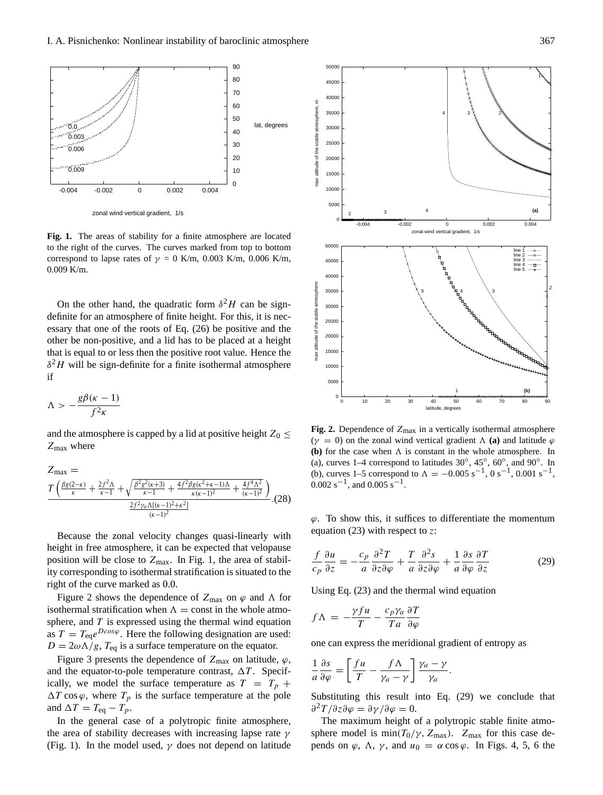

**Fig. 1.** The areas of stability for a finite atmosphere are located to the right of the curves. The curves marked from top to bottom correspond to lapse rates of  $\gamma = 0$  K/m, 0.003 K/m, 0.006 K/m, 0.009 K/m.

On the other hand, the quadratic form  $\delta^2 H$  can be signdefinite for an atmosphere of finite height. For this, it is necessary that one of the roots of Eq. (26) be positive and the other be non-positive, and a lid has to be placed at a height that is equal to or less then the positive root value. Hence the  $\delta^2 H$  will be sign-definite for a finite isothermal atmosphere if

$$
\Lambda > -\frac{g\beta(\kappa-1)}{f^2\kappa}
$$

and the atmosphere is capped by a lid at positive height  $Z_0 \leq$  $Z_{\text{max}}$  where

$$
Z_{\max} = \frac{T\left(\frac{\beta g(2-\kappa)}{\kappa} + \frac{2f^2\Lambda}{\kappa - 1} + \sqrt{\frac{\beta^2 g^2(\kappa + 3)}{\kappa - 1} + \frac{4f^2\beta g(\kappa^2 + \kappa - 1)\Lambda}{\kappa(\kappa - 1)^2} + \frac{4f^4\Lambda^2}{(\kappa - 1)^2}\right)}{\frac{2f^2\gamma_a\Lambda[(\kappa - 1)^2 + \kappa^2]}{(\kappa - 1)^2}}.
$$
(28)

Because the zonal velocity changes quasi-linearly with height in free atmosphere, it can be expected that velopause position will be close to  $Z_{\text{max}}$ . In Fig. 1, the area of stability corresponding to isothermal stratification is situated to the right of the curve marked as 0.0.

Figure 2 shows the dependence of  $Z_{\text{max}}$  on  $\varphi$  and  $\Lambda$  for isothermal stratification when  $\Lambda = \text{const}$  in the whole atmosphere, and  $T$  is expressed using the thermal wind equation as  $T = T_{eq}e^{D\cos\varphi}$ . Here the following designation are used:  $D = 2\omega\Lambda/g$ ,  $T_{eq}$  is a surface temperature on the equator.

Figure 3 presents the dependence of  $Z_{\text{max}}$  on latitude,  $\varphi$ , and the equator-to-pole temperature contrast,  $\Delta T$ . Specifically, we model the surface temperature as  $T = T_p +$  $\Delta T \cos \varphi$ , where  $T_p$  is the surface temperature at the pole and  $\Delta T = T_{eq} - T_p$ .

In the general case of a polytropic finite atmosphere, the area of stability decreases with increasing lapse rate  $\gamma$ (Fig. 1). In the model used,  $\gamma$  does not depend on latitude



**Fig. 2.** Dependence of  $Z_{\text{max}}$  in a vertically isothermal atmosphere ( $\gamma = 0$ ) on the zonal wind vertical gradient  $\Lambda$  (a) and latitude  $\varphi$ **(b)** for the case when  $\Lambda$  is constant in the whole atmosphere. In (a), curves 1–4 correspond to latitudes  $30^{\circ}$ ,  $45^{\circ}$ ,  $60^{\circ}$ , and  $90^{\circ}$ . In (b), curves 1–5 correspond to  $\Lambda = -0.005 \text{ s}^{-1}$ , 0 s<sup>-1</sup>, 0.001 s<sup>-1</sup>,  $0.002$  s<sup>-1</sup>, and  $0.005$  s<sup>-1</sup>.

 $\varphi$ . To show this, it suffices to differentiate the momentum equation (23) with respect to z:

$$
\frac{f}{c_p}\frac{\partial u}{\partial z} = -\frac{c_p}{a}\frac{\partial^2 T}{\partial z \partial \varphi} + \frac{T}{a}\frac{\partial^2 s}{\partial z \partial \varphi} + \frac{1}{a}\frac{\partial s}{\partial \varphi}\frac{\partial T}{\partial z}
$$
(29)

Using Eq. (23) and the thermal wind equation

$$
f\Lambda = -\frac{\gamma fu}{T} - \frac{c_p \gamma_a}{Ta} \frac{\partial T}{\partial \varphi}
$$

one can express the meridional gradient of entropy as

$$
\frac{1}{a}\frac{\partial s}{\partial \varphi} = \left[\frac{fu}{T} - \frac{f\Lambda}{\gamma_a - \gamma}\right]\frac{\gamma_a - \gamma}{\gamma_a}.
$$

Substituting this result into Eq. (29) we conclude that  $\partial^2 T / \partial z \partial \varphi = \partial \gamma / \partial \varphi = 0.$ 

The maximum height of a polytropic stable finite atmosphere model is  $min(T_0/\gamma, Z_{max})$ .  $Z_{max}$  for this case depends on  $\varphi$ ,  $\Lambda$ ,  $\gamma$ , and  $u_0 = \alpha \cos \varphi$ . In Figs. 4, 5, 6 the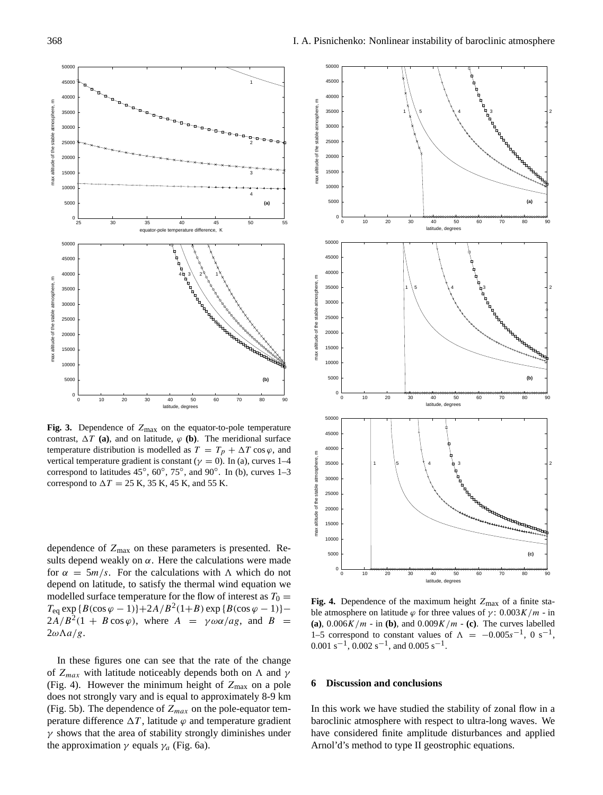



**Fig. 3.** Dependence of  $Z_{\text{max}}$  on the equator-to-pole temperature contrast,  $\Delta T$  (a), and on latitude,  $\varphi$  (b). The meridional surface temperature distribution is modelled as  $T = T_p + \Delta T \cos \varphi$ , and vertical temperature gradient is constant ( $\gamma = 0$ ). In (a), curves 1–4 correspond to latitudes  $45^\circ$ ,  $60^\circ$ ,  $75^\circ$ , and  $90^\circ$ . In (b), curves 1–3 correspond to  $\Delta T = 25$  K, 35 K, 45 K, and 55 K.

dependence of  $Z_{\text{max}}$  on these parameters is presented. Results depend weakly on  $\alpha$ . Here the calculations were made for  $\alpha = 5m/s$ . For the calculations with  $\Lambda$  which do not depend on latitude, to satisfy the thermal wind equation we modelled surface temperature for the flow of interest as  $T_0 =$  $T_{\text{eq}} \exp \{B(\cos\varphi - 1)\} + 2A/B^2(1+B) \exp \{B(\cos\varphi - 1)\} 2A/B^2(1 + B\cos\varphi)$ , where  $A = \gamma \omega \alpha /ag$ , and  $B =$  $2\omega\Lambda a/g.$ 

In these figures one can see that the rate of the change of  $Z_{max}$  with latitude noticeably depends both on  $\Lambda$  and  $\gamma$ (Fig. 4). However the minimum height of  $Z_{\text{max}}$  on a pole does not strongly vary and is equal to approximately 8-9 km (Fig. 5b). The dependence of  $Z_{max}$  on the pole-equator temperature difference  $\Delta T$ , latitude  $\varphi$  and temperature gradient  $\gamma$  shows that the area of stability strongly diminishes under the approximation  $\gamma$  equals  $\gamma_a$  (Fig. 6a).



Fig. 4. Dependence of the maximum height  $Z_{\text{max}}$  of a finite stable atmosphere on latitude  $\varphi$  for three values of  $\gamma$ : 0.003K/m - in **(a)**,  $0.006K/m -$  in **(b)**, and  $0.009K/m -$  **(c)**. The curves labelled 1–5 correspond to constant values of  $\Lambda = -0.005s^{-1}$ , 0 s<sup>-1</sup>, 0.001 s<sup>-1</sup>, 0.002 s<sup>-1</sup>, and 0.005 s<sup>-1</sup>.

#### **6 Discussion and conclusions**

In this work we have studied the stability of zonal flow in a baroclinic atmosphere with respect to ultra-long waves. We have considered finite amplitude disturbances and applied Arnol'd's method to type II geostrophic equations.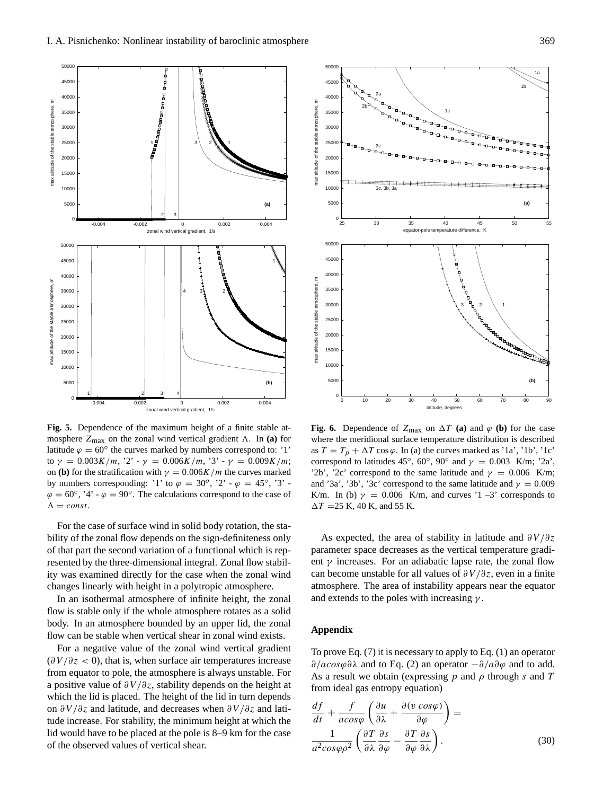

**Fig. 5.** Dependence of the maximum height of a finite stable atmosphere  $Z_{\text{max}}$  on the zonal wind vertical gradient  $\Lambda$ . In **(a)** for latitude  $\varphi = 60^\circ$  the curves marked by numbers correspond to: '1' to  $\gamma = 0.003K/m$ , '2' -  $\gamma = 0.006K/m$ , '3' -  $\gamma = 0.009K/m$ ; on **(b)** for the stratification with  $\gamma = 0.006K/m$  the curves marked by numbers corresponding: '1' to  $\varphi = 30^\circ$ , '2' -  $\varphi = 45^\circ$ , '3' - $\varphi = 60^{\circ}$ , '4' -  $\varphi = 90^{\circ}$ . The calculations correspond to the case of  $\Lambda = const.$ 

For the case of surface wind in solid body rotation, the stability of the zonal flow depends on the sign-definiteness only of that part the second variation of a functional which is represented by the three-dimensional integral. Zonal flow stability was examined directly for the case when the zonal wind changes linearly with height in a polytropic atmosphere.

In an isothermal atmosphere of infinite height, the zonal flow is stable only if the whole atmosphere rotates as a solid body. In an atmosphere bounded by an upper lid, the zonal flow can be stable when vertical shear in zonal wind exists.

For a negative value of the zonal wind vertical gradient  $(\partial V/\partial z < 0)$ , that is, when surface air temperatures increase from equator to pole, the atmosphere is always unstable. For a positive value of  $\partial V/\partial z$ , stability depends on the height at which the lid is placed. The height of the lid in turn depends on ∂V /∂z and latitude, and decreases when ∂V /∂z and latitude increase. For stability, the minimum height at which the lid would have to be placed at the pole is 8–9 km for the case of the observed values of vertical shear.



**Fig. 6.** Dependence of  $Z_{\text{max}}$  on  $\Delta T$  (a) and  $\varphi$  (b) for the case where the meridional surface temperature distribution is described as  $T = T_p + \Delta T \cos \varphi$ . In (a) the curves marked as '1a', '1b', '1c' correspond to latitudes 45°, 60°, 90° and  $\gamma = 0.003$  K/m; '2a', '2b', '2c' correspond to the same latitude and  $\gamma = 0.006$  K/m; and '3a', '3b', '3c' correspond to the same latitude and  $\gamma = 0.009$ K/m. In (b)  $\gamma = 0.006$  K/m, and curves '1 –3' corresponds to  $\Delta T = 25$  K, 40 K, and 55 K.

As expected, the area of stability in latitude and  $\partial V/\partial z$ parameter space decreases as the vertical temperature gradient  $\gamma$  increases. For an adiabatic lapse rate, the zonal flow can become unstable for all values of  $\partial V/\partial z$ , even in a finite atmosphere. The area of instability appears near the equator and extends to the poles with increasing  $\gamma$ .

## **Appendix**

To prove Eq. (7) it is necessary to apply to Eq. (1) an operator  $∂/acosφ∂λ$  and to Eq. (2) an operator  $-∂/a∂φ$  and to add. As a result we obtain (expressing  $p$  and  $\rho$  through s and T from ideal gas entropy equation)

$$
\frac{df}{dt} + \frac{f}{acos\varphi} \left( \frac{\partial u}{\partial \lambda} + \frac{\partial (v \cos\varphi)}{\partial \varphi} \right) =
$$
  

$$
\frac{1}{a^2 cos\varphi \rho^2} \left( \frac{\partial T}{\partial \lambda} \frac{\partial s}{\partial \varphi} - \frac{\partial T}{\partial \varphi} \frac{\partial s}{\partial \lambda} \right).
$$
(30)